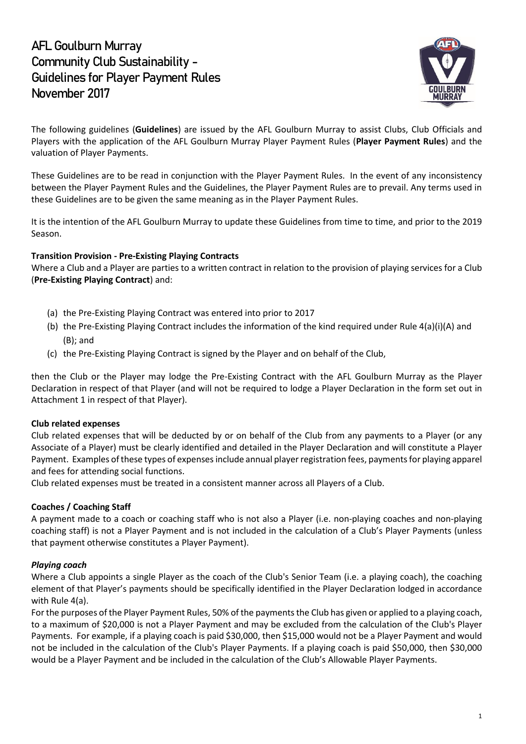# **AFL Goulburn Murray Community Club Sustainability - Guidelines for Player Payment Rules November 2017**



The following guidelines (**Guidelines**) are issued by the AFL Goulburn Murray to assist Clubs, Club Officials and Players with the application of the AFL Goulburn Murray Player Payment Rules (**Player Payment Rules**) and the valuation of Player Payments.

These Guidelines are to be read in conjunction with the Player Payment Rules. In the event of any inconsistency between the Player Payment Rules and the Guidelines, the Player Payment Rules are to prevail. Any terms used in these Guidelines are to be given the same meaning as in the Player Payment Rules.

It is the intention of the AFL Goulburn Murray to update these Guidelines from time to time, and prior to the 2019 Season.

### **Transition Provision - Pre-Existing Playing Contracts**

Where a Club and a Player are parties to a written contract in relation to the provision of playing services for a Club (**Pre-Existing Playing Contract**) and:

- (a) the Pre-Existing Playing Contract was entered into prior to 2017
- (b) the Pre-Existing Playing Contract includes the information of the kind required under Rule 4(a)(i)(A) and (B); and
- (c) the Pre-Existing Playing Contract is signed by the Player and on behalf of the Club,

then the Club or the Player may lodge the Pre-Existing Contract with the AFL Goulburn Murray as the Player Declaration in respect of that Player (and will not be required to lodge a Player Declaration in the form set out in Attachment 1 in respect of that Player).

### **Club related expenses**

Club related expenses that will be deducted by or on behalf of the Club from any payments to a Player (or any Associate of a Player) must be clearly identified and detailed in the Player Declaration and will constitute a Player Payment. Examples of these types of expenses include annual player registration fees, payments for playing apparel and fees for attending social functions.

Club related expenses must be treated in a consistent manner across all Players of a Club.

### **Coaches / Coaching Staff**

A payment made to a coach or coaching staff who is not also a Player (i.e. non-playing coaches and non-playing coaching staff) is not a Player Payment and is not included in the calculation of a Club's Player Payments (unless that payment otherwise constitutes a Player Payment).

### *Playing coach*

Where a Club appoints a single Player as the coach of the Club's Senior Team (i.e. a playing coach), the coaching element of that Player's payments should be specifically identified in the Player Declaration lodged in accordance with Rule 4(a).

For the purposes of the Player Payment Rules, 50% of the payments the Club has given or applied to a playing coach, to a maximum of \$20,000 is not a Player Payment and may be excluded from the calculation of the Club's Player Payments. For example, if a playing coach is paid \$30,000, then \$15,000 would not be a Player Payment and would not be included in the calculation of the Club's Player Payments. If a playing coach is paid \$50,000, then \$30,000 would be a Player Payment and be included in the calculation of the Club's Allowable Player Payments.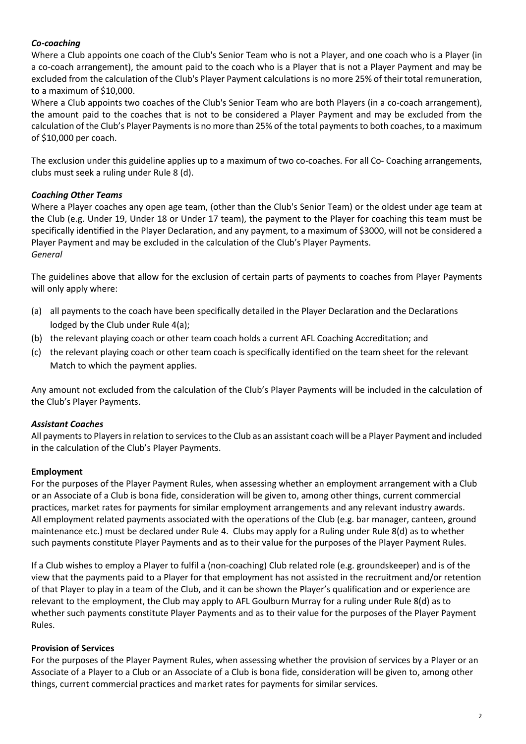### *Co-coaching*

Where a Club appoints one coach of the Club's Senior Team who is not a Player, and one coach who is a Player (in a co-coach arrangement), the amount paid to the coach who is a Player that is not a Player Payment and may be excluded from the calculation of the Club's Player Payment calculations is no more 25% of their total remuneration, to a maximum of \$10,000.

Where a Club appoints two coaches of the Club's Senior Team who are both Players (in a co-coach arrangement), the amount paid to the coaches that is not to be considered a Player Payment and may be excluded from the calculation of the Club's Player Paymentsis no more than 25% of the total payments to both coaches, to a maximum of \$10,000 per coach.

The exclusion under this guideline applies up to a maximum of two co-coaches. For all Co- Coaching arrangements, clubs must seek a ruling under Rule 8 (d).

### *Coaching Other Teams*

Where a Player coaches any open age team, (other than the Club's Senior Team) or the oldest under age team at the Club (e.g. Under 19, Under 18 or Under 17 team), the payment to the Player for coaching this team must be specifically identified in the Player Declaration, and any payment, to a maximum of \$3000, will not be considered a Player Payment and may be excluded in the calculation of the Club's Player Payments. *General*

The guidelines above that allow for the exclusion of certain parts of payments to coaches from Player Payments will only apply where:

- (a) all payments to the coach have been specifically detailed in the Player Declaration and the Declarations lodged by the Club under Rule 4(a);
- (b) the relevant playing coach or other team coach holds a current AFL Coaching Accreditation; and
- (c) the relevant playing coach or other team coach is specifically identified on the team sheet for the relevant Match to which the payment applies.

Any amount not excluded from the calculation of the Club's Player Payments will be included in the calculation of the Club's Player Payments.

### *Assistant Coaches*

All payments to Players in relation to services to the Club as an assistant coach will be a Player Payment and included in the calculation of the Club's Player Payments.

### **Employment**

For the purposes of the Player Payment Rules, when assessing whether an employment arrangement with a Club or an Associate of a Club is bona fide, consideration will be given to, among other things, current commercial practices, market rates for payments for similar employment arrangements and any relevant industry awards. All employment related payments associated with the operations of the Club (e.g. bar manager, canteen, ground maintenance etc.) must be declared under Rule 4. Clubs may apply for a Ruling under Rule 8(d) as to whether such payments constitute Player Payments and as to their value for the purposes of the Player Payment Rules.

If a Club wishes to employ a Player to fulfil a (non-coaching) Club related role (e.g. groundskeeper) and is of the view that the payments paid to a Player for that employment has not assisted in the recruitment and/or retention of that Player to play in a team of the Club, and it can be shown the Player's qualification and or experience are relevant to the employment, the Club may apply to AFL Goulburn Murray for a ruling under Rule 8(d) as to whether such payments constitute Player Payments and as to their value for the purposes of the Player Payment Rules.

### **Provision of Services**

For the purposes of the Player Payment Rules, when assessing whether the provision of services by a Player or an Associate of a Player to a Club or an Associate of a Club is bona fide, consideration will be given to, among other things, current commercial practices and market rates for payments for similar services.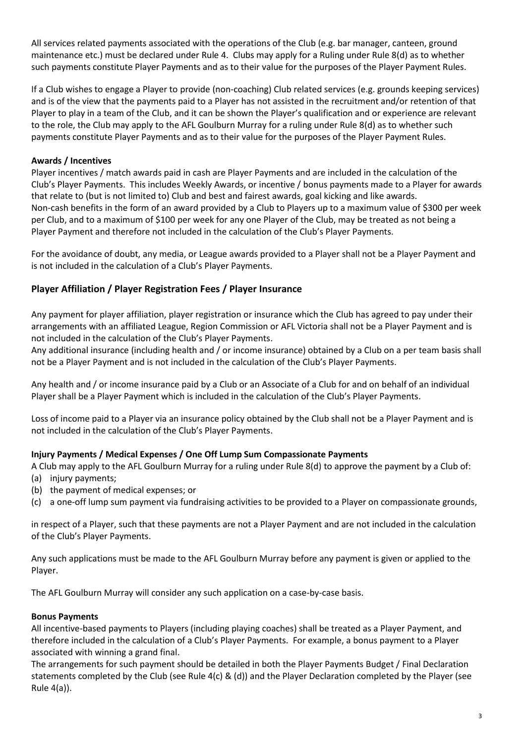All services related payments associated with the operations of the Club (e.g. bar manager, canteen, ground maintenance etc.) must be declared under Rule 4. Clubs may apply for a Ruling under Rule 8(d) as to whether such payments constitute Player Payments and as to their value for the purposes of the Player Payment Rules.

If a Club wishes to engage a Player to provide (non-coaching) Club related services (e.g. grounds keeping services) and is of the view that the payments paid to a Player has not assisted in the recruitment and/or retention of that Player to play in a team of the Club, and it can be shown the Player's qualification and or experience are relevant to the role, the Club may apply to the AFL Goulburn Murray for a ruling under Rule 8(d) as to whether such payments constitute Player Payments and as to their value for the purposes of the Player Payment Rules.

### **Awards / Incentives**

Player incentives / match awards paid in cash are Player Payments and are included in the calculation of the Club's Player Payments. This includes Weekly Awards, or incentive / bonus payments made to a Player for awards that relate to (but is not limited to) Club and best and fairest awards, goal kicking and like awards. Non-cash benefits in the form of an award provided by a Club to Players up to a maximum value of \$300 per week per Club, and to a maximum of \$100 per week for any one Player of the Club, may be treated as not being a Player Payment and therefore not included in the calculation of the Club's Player Payments.

For the avoidance of doubt, any media, or League awards provided to a Player shall not be a Player Payment and is not included in the calculation of a Club's Player Payments.

### **Player Affiliation / Player Registration Fees / Player Insurance**

Any payment for player affiliation, player registration or insurance which the Club has agreed to pay under their arrangements with an affiliated League, Region Commission or AFL Victoria shall not be a Player Payment and is not included in the calculation of the Club's Player Payments.

Any additional insurance (including health and / or income insurance) obtained by a Club on a per team basis shall not be a Player Payment and is not included in the calculation of the Club's Player Payments.

Any health and / or income insurance paid by a Club or an Associate of a Club for and on behalf of an individual Player shall be a Player Payment which is included in the calculation of the Club's Player Payments.

Loss of income paid to a Player via an insurance policy obtained by the Club shall not be a Player Payment and is not included in the calculation of the Club's Player Payments.

### **Injury Payments / Medical Expenses / One Off Lump Sum Compassionate Payments**

A Club may apply to the AFL Goulburn Murray for a ruling under Rule 8(d) to approve the payment by a Club of: (a) injury payments;

- (b) the payment of medical expenses; or
- (c) a one-off lump sum payment via fundraising activities to be provided to a Player on compassionate grounds,

in respect of a Player, such that these payments are not a Player Payment and are not included in the calculation of the Club's Player Payments.

Any such applications must be made to the AFL Goulburn Murray before any payment is given or applied to the Player.

The AFL Goulburn Murray will consider any such application on a case-by-case basis.

### **Bonus Payments**

All incentive-based payments to Players (including playing coaches) shall be treated as a Player Payment, and therefore included in the calculation of a Club's Player Payments. For example, a bonus payment to a Player associated with winning a grand final.

The arrangements for such payment should be detailed in both the Player Payments Budget / Final Declaration statements completed by the Club (see Rule 4(c) & (d)) and the Player Declaration completed by the Player (see Rule 4(a)).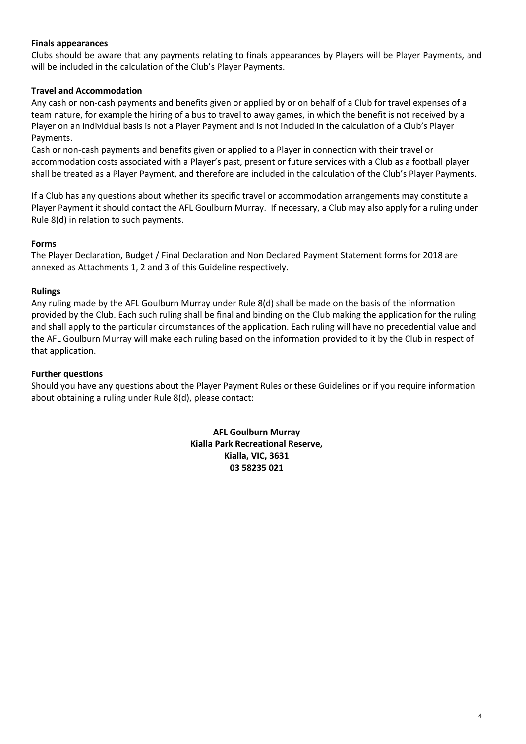### **Finals appearances**

Clubs should be aware that any payments relating to finals appearances by Players will be Player Payments, and will be included in the calculation of the Club's Player Payments.

### **Travel and Accommodation**

Any cash or non-cash payments and benefits given or applied by or on behalf of a Club for travel expenses of a team nature, for example the hiring of a bus to travel to away games, in which the benefit is not received by a Player on an individual basis is not a Player Payment and is not included in the calculation of a Club's Player Payments.

Cash or non-cash payments and benefits given or applied to a Player in connection with their travel or accommodation costs associated with a Player's past, present or future services with a Club as a football player shall be treated as a Player Payment, and therefore are included in the calculation of the Club's Player Payments.

If a Club has any questions about whether its specific travel or accommodation arrangements may constitute a Player Payment it should contact the AFL Goulburn Murray. If necessary, a Club may also apply for a ruling under Rule 8(d) in relation to such payments.

### **Forms**

The Player Declaration, Budget / Final Declaration and Non Declared Payment Statement forms for 2018 are annexed as Attachments 1, 2 and 3 of this Guideline respectively.

#### **Rulings**

Any ruling made by the AFL Goulburn Murray under Rule 8(d) shall be made on the basis of the information provided by the Club. Each such ruling shall be final and binding on the Club making the application for the ruling and shall apply to the particular circumstances of the application. Each ruling will have no precedential value and the AFL Goulburn Murray will make each ruling based on the information provided to it by the Club in respect of that application.

#### **Further questions**

Should you have any questions about the Player Payment Rules or these Guidelines or if you require information about obtaining a ruling under Rule 8(d), please contact:

> **AFL Goulburn Murray Kialla Park Recreational Reserve, Kialla, VIC, 3631 03 58235 021**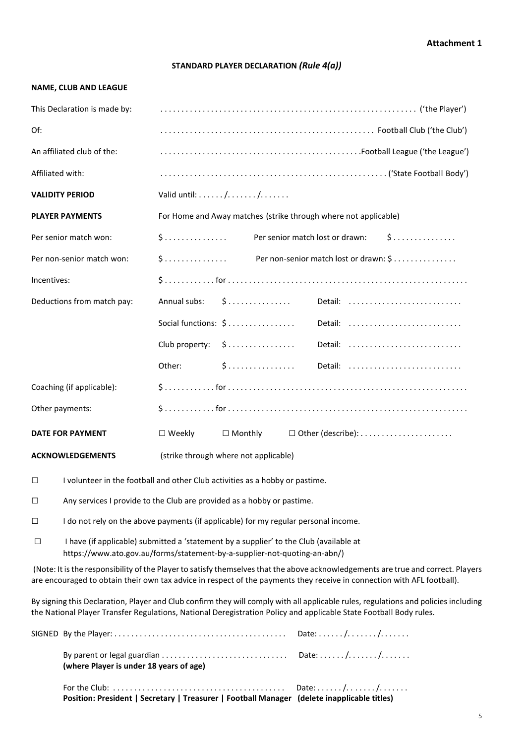#### **Attachment 1**

#### **STANDARD PLAYER DECLARATION** *(Rule 4(a))*

#### **NAME, CLUB AND LEAGUE**

| This Declaration is made by: |                                                                                                        |
|------------------------------|--------------------------------------------------------------------------------------------------------|
| Of:                          |                                                                                                        |
| An affiliated club of the:   |                                                                                                        |
| Affiliated with:             |                                                                                                        |
| <b>VALIDITY PERIOD</b>       |                                                                                                        |
| <b>PLAYER PAYMENTS</b>       | For Home and Away matches (strike through where not applicable)                                        |
| Per senior match won:        | 5<br>$\mathsf{S}$<br>Per senior match lost or drawn:                                                   |
| Per non-senior match won:    | \$  Per non-senior match lost or drawn: \$                                                             |
| Incentives:                  |                                                                                                        |
| Deductions from match pay:   | Annual subs: $\oint$<br>Detail:                                                                        |
|                              | Social functions: \$<br>Detail:                                                                        |
|                              | Club property: \$<br>Detail:                                                                           |
|                              |                                                                                                        |
| Coaching (if applicable):    |                                                                                                        |
| Other payments:              |                                                                                                        |
| <b>DATE FOR PAYMENT</b>      | $\Box$ Weekly<br>$\Box$ Monthly<br>$\Box$ Other (describe): $\dots\dots\dots\dots\dots\dots\dots\dots$ |
| <b>ACKNOWLEDGEMENTS</b>      | (strike through where not applicable)                                                                  |

 $\Box$  I volunteer in the football and other Club activities as a hobby or pastime.

□ Any services I provide to the Club are provided as a hobby or pastime.

 $\Box$  I do not rely on the above payments (if applicable) for my regular personal income.

□ I have (if applicable) submitted a 'statement by a supplier' to the Club (available at https://www.ato.gov.au/forms/statement-by-a-supplier-not-quoting-an-abn/)

(Note: It is the responsibility of the Player to satisfy themselves that the above acknowledgements are true and correct. Players are encouraged to obtain their own tax advice in respect of the payments they receive in connection with AFL football).

By signing this Declaration, Player and Club confirm they will comply with all applicable rules, regulations and policies including the National Player Transfer Regulations, National Deregistration Policy and applicable State Football Body rules.

| (where Player is under 18 years of age)                                                     |  |
|---------------------------------------------------------------------------------------------|--|
| Position: President   Secretary   Treasurer   Football Manager (delete inapplicable titles) |  |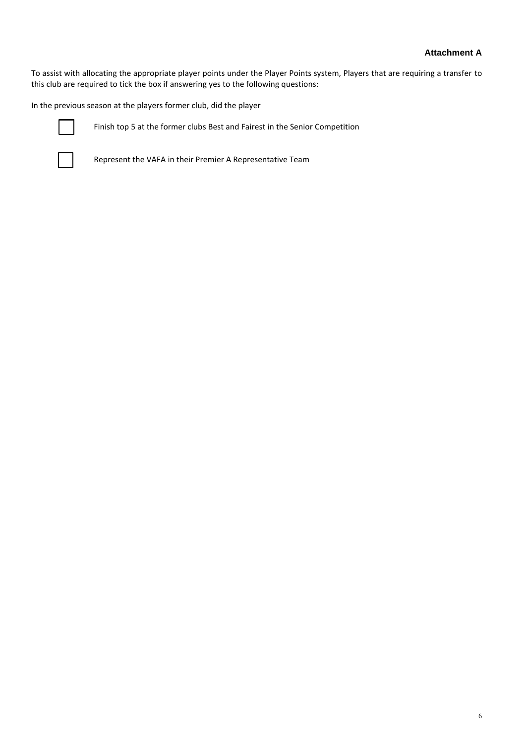To assist with allocating the appropriate player points under the Player Points system, Players that are requiring a transfer to this club are required to tick the box if answering yes to the following questions:

In the previous season at the players former club, did the player



Finish top 5 at the former clubs Best and Fairest in the Senior Competition



Represent the VAFA in their Premier A Representative Team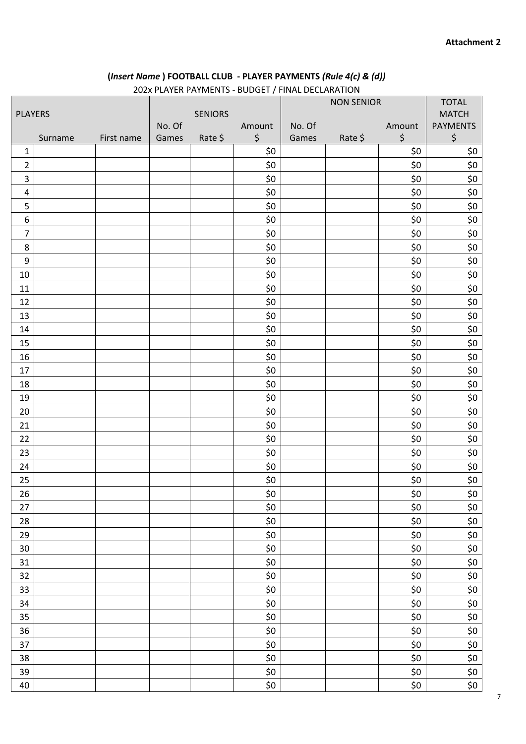## **(***Insert Name* **) FOOTBALL CLUB - PLAYER PAYMENTS** *(Rule 4(c) & (d))*

|                  |         |                |                 |         | ZUZA FLATLIN FATIVILINTS - BODOLT / TIINAL DLCLAINATION |                 |                   |              |                                                   |
|------------------|---------|----------------|-----------------|---------|---------------------------------------------------------|-----------------|-------------------|--------------|---------------------------------------------------|
|                  |         |                |                 |         |                                                         |                 | <b>NON SENIOR</b> |              | <b>TOTAL</b>                                      |
| <b>PLAYERS</b>   |         | <b>SENIORS</b> |                 |         |                                                         |                 |                   | <b>MATCH</b> |                                                   |
|                  | Surname | First name     | No. Of<br>Games | Rate \$ | Amount<br>$\boldsymbol{\zeta}$                          | No. Of<br>Games | Rate \$           | Amount<br>\$ | <b>PAYMENTS</b><br>$\boldsymbol{\dot{\varsigma}}$ |
| $\mathbf{1}$     |         |                |                 |         | \$0                                                     |                 |                   | \$0          | \$0                                               |
| $\overline{2}$   |         |                |                 |         | \$0                                                     |                 |                   | \$0          | \$0                                               |
| 3                |         |                |                 |         | \$0                                                     |                 |                   | \$0          | \$0                                               |
| $\pmb{4}$        |         |                |                 |         | \$0                                                     |                 |                   | \$0          | \$0                                               |
| 5                |         |                |                 |         | \$0                                                     |                 |                   | \$0          | \$0                                               |
| 6                |         |                |                 |         | \$0                                                     |                 |                   | \$0          | \$0\$                                             |
| $\overline{7}$   |         |                |                 |         | \$0                                                     |                 |                   | \$0          | \$0                                               |
| 8                |         |                |                 |         | \$0                                                     |                 |                   | \$0          | \$0                                               |
| $\boldsymbol{9}$ |         |                |                 |         | \$0                                                     |                 |                   | \$0          | \$0                                               |
| 10               |         |                |                 |         | \$0                                                     |                 |                   | \$0          | \$0                                               |
| 11               |         |                |                 |         | \$0                                                     |                 |                   | \$0          | \$0                                               |
| 12               |         |                |                 |         | \$0                                                     |                 |                   | \$0          | \$0                                               |
| 13               |         |                |                 |         | \$0                                                     |                 |                   | \$0          | \$0                                               |
| 14               |         |                |                 |         | \$0                                                     |                 |                   | \$0          | \$0                                               |
| 15               |         |                |                 |         | \$0                                                     |                 |                   | \$0          | \$0                                               |
| 16               |         |                |                 |         | \$0                                                     |                 |                   | \$0          | \$0                                               |
| 17               |         |                |                 |         | \$0                                                     |                 |                   | \$0          | \$0                                               |
| 18               |         |                |                 |         | \$0                                                     |                 |                   | \$0          | \$0                                               |
| 19               |         |                |                 |         | \$0                                                     |                 |                   | \$0          | \$0                                               |
| 20               |         |                |                 |         | \$0                                                     |                 |                   | \$0          | \$0                                               |
| 21               |         |                |                 |         | \$0                                                     |                 |                   | \$0          | \$0                                               |
| 22               |         |                |                 |         | \$0                                                     |                 |                   | \$0          | \$0                                               |
| 23               |         |                |                 |         | \$0                                                     |                 |                   | \$0          | \$0                                               |
| 24               |         |                |                 |         | \$0                                                     |                 |                   | \$0          | \$0                                               |
| 25               |         |                |                 |         | \$0                                                     |                 |                   | \$0          | \$0                                               |
| 26               |         |                |                 |         | \$0                                                     |                 |                   | \$0          | \$0\$                                             |
| 27               |         |                |                 |         | \$0                                                     |                 |                   | \$0          | \$0                                               |
| 28               |         |                |                 |         | \$0                                                     |                 |                   | \$0          | \$0\$                                             |
| 29               |         |                |                 |         | \$0                                                     |                 |                   | \$0          | \$0                                               |
| 30               |         |                |                 |         | \$0                                                     |                 |                   | \$0          | \$0                                               |
| 31               |         |                |                 |         | \$0                                                     |                 |                   | \$0          | \$0                                               |
| 32               |         |                |                 |         | \$0                                                     |                 |                   | \$0          | \$0                                               |
| 33               |         |                |                 |         | \$0                                                     |                 |                   | \$0          | \$0                                               |
| 34               |         |                |                 |         | \$0                                                     |                 |                   | \$0          | \$0                                               |
| 35               |         |                |                 |         | \$0                                                     |                 |                   | \$0          | $$0$$                                             |
| 36               |         |                |                 |         | \$0                                                     |                 |                   | \$0          | \$0                                               |
| 37               |         |                |                 |         | \$0                                                     |                 |                   | \$0          | \$0\$                                             |
| 38               |         |                |                 |         | \$0                                                     |                 |                   | \$0          | \$0                                               |
| 39               |         |                |                 |         | \$0                                                     |                 |                   | \$0          | \$0                                               |
| 40               |         |                |                 |         | \$0                                                     |                 |                   | \$0          | \$0                                               |

202x PLAYER PAYMENTS - BUDGET / FINAL DECLARATION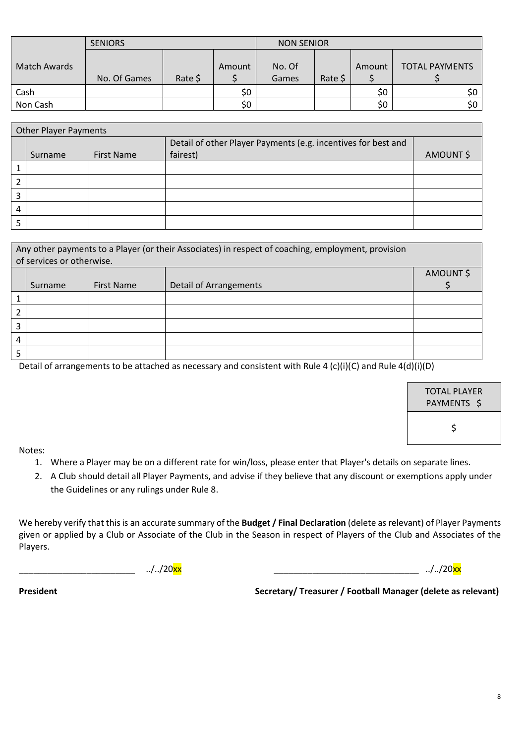|              | <b>SENIORS</b> |         |        | <b>NON SENIOR</b> |         |        |                       |
|--------------|----------------|---------|--------|-------------------|---------|--------|-----------------------|
| Match Awards | No. Of Games   | Rate \$ | Amount | No. Of<br>Games   | Rate \$ | Amount | <b>TOTAL PAYMENTS</b> |
| Cash         |                |         | \$0    |                   |         | \$0    | \$0                   |
| Non Cash     |                |         | \$0    |                   |         | \$0    | \$0                   |

| <b>Other Player Payments</b> |                              |  |                                                                           |          |  |
|------------------------------|------------------------------|--|---------------------------------------------------------------------------|----------|--|
|                              | <b>First Name</b><br>Surname |  | Detail of other Player Payments (e.g. incentives for best and<br>fairest) | AMOUNT\$ |  |
|                              |                              |  |                                                                           |          |  |
|                              |                              |  |                                                                           |          |  |
| ำ                            |                              |  |                                                                           |          |  |
| 4                            |                              |  |                                                                           |          |  |
|                              |                              |  |                                                                           |          |  |

| Any other payments to a Player (or their Associates) in respect of coaching, employment, provision<br>of services or otherwise. |         |                   |                               |          |  |
|---------------------------------------------------------------------------------------------------------------------------------|---------|-------------------|-------------------------------|----------|--|
|                                                                                                                                 |         |                   |                               | AMOUNT\$ |  |
|                                                                                                                                 | Surname | <b>First Name</b> | <b>Detail of Arrangements</b> |          |  |
|                                                                                                                                 |         |                   |                               |          |  |
|                                                                                                                                 |         |                   |                               |          |  |
|                                                                                                                                 |         |                   |                               |          |  |
| 4                                                                                                                               |         |                   |                               |          |  |
|                                                                                                                                 |         |                   |                               |          |  |

Detail of arrangements to be attached as necessary and consistent with Rule 4 (c)(i)(C) and Rule 4(d)(i)(D)

| TOTAL PLAYER<br>PAYMENTS S |  |
|----------------------------|--|
| Ś                          |  |

Notes:

- 1. Where a Player may be on a different rate for win/loss, please enter that Player's details on separate lines.
- 2. A Club should detail all Player Payments, and advise if they believe that any discount or exemptions apply under the Guidelines or any rulings under Rule 8.

We hereby verify that this is an accurate summary of the **Budget / Final Declaration** (delete as relevant) of Player Payments given or applied by a Club or Associate of the Club in the Season in respect of Players of the Club and Associates of the Players.

\_\_\_\_\_\_\_\_\_\_\_\_\_\_\_\_\_\_\_\_\_\_\_\_ ../../20xx \_\_\_\_\_\_\_\_\_\_\_\_\_\_\_\_\_\_\_\_\_\_\_\_\_\_\_\_\_\_ ../../20xx

President **Network Secretary/ Treasurer / Football Manager (delete as relevant)**